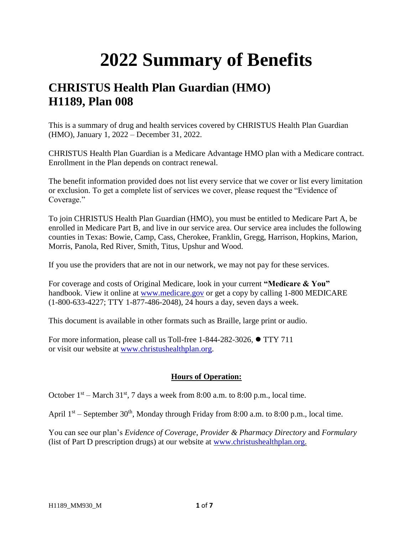## **2022 Summary of Benefits**

## **CHRISTUS Health Plan Guardian (HMO) H1189, Plan 008**

This is a summary of drug and health services covered by CHRISTUS Health Plan Guardian (HMO), January 1, 2022 – December 31, 2022.

CHRISTUS Health Plan Guardian is a Medicare Advantage HMO plan with a Medicare contract. Enrollment in the Plan depends on contract renewal.

The benefit information provided does not list every service that we cover or list every limitation or exclusion. To get a complete list of services we cover, please request the "Evidence of Coverage."

To join CHRISTUS Health Plan Guardian (HMO), you must be entitled to Medicare Part A, be enrolled in Medicare Part B, and live in our service area. Our service area includes the following counties in Texas: Bowie, Camp, Cass, Cherokee, Franklin, Gregg, Harrison, Hopkins, Marion, Morris, Panola, Red River, Smith, Titus, Upshur and Wood.

If you use the providers that are not in our network, we may not pay for these services.

For coverage and costs of Original Medicare, look in your current **"Medicare & You"**  handbook. View it online at [www.medicare.gov](http://www.medicare.gov/) or get a copy by calling 1-800 MEDICARE (1-800-633-4227; TTY 1-877-486-2048), 24 hours a day, seven days a week.

This document is available in other formats such as Braille, large print or audio.

For more information, please call us Toll-free 1-844-282-3026, ⚫ TTY 711 or visit our website at [www.christushealthplan.org.](http://www.christushealthplan.org/)

## **Hours of Operation:**

October  $1<sup>st</sup>$  – March 31<sup>st</sup>, 7 days a week from 8:00 a.m. to 8:00 p.m., local time.

April  $1<sup>st</sup>$  – September 30<sup>th</sup>, Monday through Friday from 8:00 a.m. to 8:00 p.m., local time.

You can see our plan's *Evidence of Coverage*, *Provider & Pharmacy Directory* and *Formulary* (list of Part D prescription drugs) at our website at [www.christushealthplan.org.](http://www.christushealthplan.org/)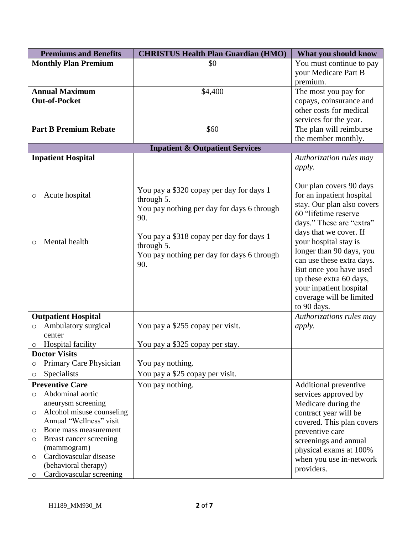| <b>Premiums and Benefits</b> |                              | <b>CHRISTUS Health Plan Guardian (HMO)</b> | What you should know       |
|------------------------------|------------------------------|--------------------------------------------|----------------------------|
|                              | <b>Monthly Plan Premium</b>  | \$0                                        | You must continue to pay   |
|                              |                              |                                            | your Medicare Part B       |
|                              |                              |                                            | premium.                   |
|                              | <b>Annual Maximum</b>        | \$4,400                                    | The most you pay for       |
|                              | <b>Out-of-Pocket</b>         |                                            | copays, coinsurance and    |
|                              |                              |                                            | other costs for medical    |
|                              |                              |                                            | services for the year.     |
|                              | <b>Part B Premium Rebate</b> | \$60                                       | The plan will reimburse    |
|                              |                              |                                            | the member monthly.        |
|                              |                              | <b>Inpatient &amp; Outpatient Services</b> |                            |
|                              | <b>Inpatient Hospital</b>    |                                            | Authorization rules may    |
|                              |                              |                                            | <i>apply.</i>              |
|                              |                              |                                            |                            |
|                              |                              |                                            | Our plan covers 90 days    |
| O                            | Acute hospital               | You pay a \$320 copay per day for days 1   | for an inpatient hospital  |
|                              |                              | through 5.                                 | stay. Our plan also covers |
|                              |                              | You pay nothing per day for days 6 through | 60 "lifetime reserve       |
|                              |                              | 90.                                        | days." These are "extra"   |
|                              |                              |                                            | days that we cover. If     |
| $\circ$                      | Mental health                | You pay a \$318 copay per day for days 1   | your hospital stay is      |
|                              |                              | through 5.                                 | longer than 90 days, you   |
|                              |                              | You pay nothing per day for days 6 through | can use these extra days.  |
|                              |                              | 90.                                        | But once you have used     |
|                              |                              |                                            | up these extra 60 days,    |
|                              |                              |                                            | your inpatient hospital    |
|                              |                              |                                            | coverage will be limited   |
|                              |                              |                                            | to 90 days.                |
|                              | <b>Outpatient Hospital</b>   |                                            | Authorizations rules may   |
| O                            | Ambulatory surgical          | You pay a \$255 copay per visit.           | <i>apply.</i>              |
|                              | center                       |                                            |                            |
| O                            | <b>Hospital facility</b>     | You pay a \$325 copay per stay.            |                            |
|                              | <b>Doctor Visits</b>         |                                            |                            |
| O                            | Primary Care Physician       | You pay nothing.                           |                            |
| O                            | Specialists                  | You pay a \$25 copay per visit.            |                            |
|                              | <b>Preventive Care</b>       | You pay nothing.                           | Additional preventive      |
| $\circ$                      | Abdominal aortic             |                                            | services approved by       |
|                              | aneurysm screening           |                                            | Medicare during the        |
| O                            | Alcohol misuse counseling    |                                            | contract year will be      |
|                              | Annual "Wellness" visit      |                                            | covered. This plan covers  |
| O                            | Bone mass measurement        |                                            | preventive care            |
| O                            | Breast cancer screening      |                                            | screenings and annual      |
|                              | (mammogram)                  |                                            | physical exams at 100%     |
| O                            | Cardiovascular disease       |                                            | when you use in-network    |
|                              | (behavioral therapy)         |                                            | providers.                 |
| $\circ$                      | Cardiovascular screening     |                                            |                            |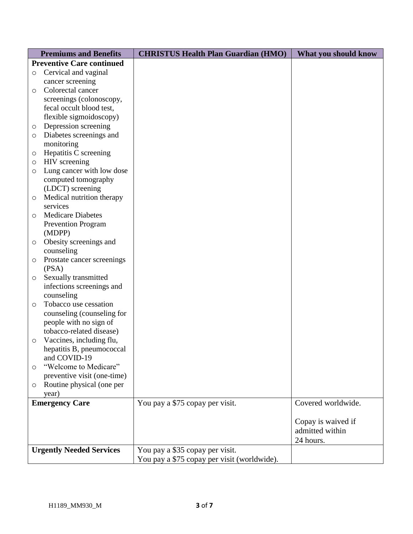|                                 | <b>Premiums and Benefits</b>                         | <b>CHRISTUS Health Plan Guardian (HMO)</b>  | What you should know |
|---------------------------------|------------------------------------------------------|---------------------------------------------|----------------------|
|                                 | <b>Preventive Care continued</b>                     |                                             |                      |
| $\circ$                         | Cervical and vaginal                                 |                                             |                      |
|                                 | cancer screening                                     |                                             |                      |
| $\circ$                         | Colorectal cancer                                    |                                             |                      |
|                                 | screenings (colonoscopy,                             |                                             |                      |
|                                 | fecal occult blood test,                             |                                             |                      |
|                                 | flexible sigmoidoscopy)                              |                                             |                      |
| O                               | Depression screening                                 |                                             |                      |
| $\circ$                         | Diabetes screenings and                              |                                             |                      |
|                                 | monitoring                                           |                                             |                      |
| O                               | Hepatitis C screening                                |                                             |                      |
| $\circ$                         | HIV screening                                        |                                             |                      |
| $\circ$                         | Lung cancer with low dose                            |                                             |                      |
|                                 | computed tomography                                  |                                             |                      |
|                                 | (LDCT) screening                                     |                                             |                      |
| O                               | Medical nutrition therapy                            |                                             |                      |
|                                 | services                                             |                                             |                      |
| $\circ$                         | <b>Medicare Diabetes</b>                             |                                             |                      |
|                                 | <b>Prevention Program</b>                            |                                             |                      |
|                                 | (MDPP)                                               |                                             |                      |
| $\circ$                         | Obesity screenings and                               |                                             |                      |
|                                 | counseling                                           |                                             |                      |
| O                               | Prostate cancer screenings                           |                                             |                      |
|                                 | (PSA)                                                |                                             |                      |
| $\circ$                         | Sexually transmitted                                 |                                             |                      |
|                                 | infections screenings and                            |                                             |                      |
|                                 | counseling                                           |                                             |                      |
| $\circ$                         | Tobacco use cessation                                |                                             |                      |
|                                 | counseling (counseling for                           |                                             |                      |
|                                 | people with no sign of                               |                                             |                      |
|                                 | tobacco-related disease)                             |                                             |                      |
| $\circ$                         | Vaccines, including flu,                             |                                             |                      |
|                                 | hepatitis B, pneumococcal                            |                                             |                      |
|                                 | and COVID-19                                         |                                             |                      |
| $\circ$                         | "Welcome to Medicare"<br>preventive visit (one-time) |                                             |                      |
|                                 | Routine physical (one per                            |                                             |                      |
| $\circlearrowright$             | year)                                                |                                             |                      |
| <b>Emergency Care</b>           |                                                      | You pay a \$75 copay per visit.             | Covered worldwide.   |
|                                 |                                                      |                                             |                      |
|                                 |                                                      |                                             | Copay is waived if   |
|                                 |                                                      |                                             | admitted within      |
|                                 |                                                      |                                             | 24 hours.            |
| <b>Urgently Needed Services</b> |                                                      | You pay a \$35 copay per visit.             |                      |
|                                 |                                                      | You pay a \$75 copay per visit (worldwide). |                      |
|                                 |                                                      |                                             |                      |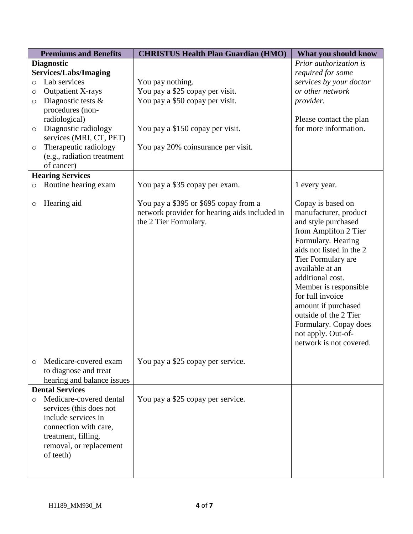| <b>Premiums and Benefits</b> |                              | <b>CHRISTUS Health Plan Guardian (HMO)</b>    | What you should know     |
|------------------------------|------------------------------|-----------------------------------------------|--------------------------|
|                              | <b>Diagnostic</b>            |                                               | Prior authorization is   |
|                              | <b>Services/Labs/Imaging</b> |                                               | required for some        |
| $\circ$                      | Lab services                 | You pay nothing.                              | services by your doctor  |
| O                            | <b>Outpatient X-rays</b>     | You pay a \$25 copay per visit.               | or other network         |
| $\circ$                      | Diagnostic tests $\&$        | You pay a \$50 copay per visit.               | provider.                |
|                              | procedures (non-             |                                               |                          |
|                              | radiological)                |                                               | Please contact the plan  |
| $\circ$                      | Diagnostic radiology         | You pay a \$150 copay per visit.              | for more information.    |
|                              | services (MRI, CT, PET)      |                                               |                          |
| $\circ$                      | Therapeutic radiology        | You pay 20% coinsurance per visit.            |                          |
|                              | (e.g., radiation treatment   |                                               |                          |
|                              | of cancer)                   |                                               |                          |
|                              | <b>Hearing Services</b>      |                                               |                          |
| $\circ$                      | Routine hearing exam         | You pay a \$35 copay per exam.                | 1 every year.            |
|                              |                              |                                               |                          |
| O                            | Hearing aid                  | You pay a \$395 or \$695 copay from a         | Copay is based on        |
|                              |                              | network provider for hearing aids included in | manufacturer, product    |
|                              |                              | the 2 Tier Formulary.                         | and style purchased      |
|                              |                              |                                               | from Amplifon 2 Tier     |
|                              |                              |                                               | Formulary. Hearing       |
|                              |                              |                                               | aids not listed in the 2 |
|                              |                              |                                               | Tier Formulary are       |
|                              |                              |                                               | available at an          |
|                              |                              |                                               | additional cost.         |
|                              |                              |                                               | Member is responsible    |
|                              |                              |                                               | for full invoice         |
|                              |                              |                                               | amount if purchased      |
|                              |                              |                                               | outside of the 2 Tier    |
|                              |                              |                                               | Formulary. Copay does    |
|                              |                              |                                               | not apply. Out-of-       |
|                              |                              |                                               | network is not covered.  |
|                              |                              |                                               |                          |
| $\circ$                      | Medicare-covered exam        | You pay a \$25 copay per service.             |                          |
|                              | to diagnose and treat        |                                               |                          |
|                              | hearing and balance issues   |                                               |                          |
|                              | <b>Dental Services</b>       |                                               |                          |
| $\circ$                      | Medicare-covered dental      | You pay a \$25 copay per service.             |                          |
|                              | services (this does not      |                                               |                          |
|                              | include services in          |                                               |                          |
|                              | connection with care,        |                                               |                          |
|                              | treatment, filling,          |                                               |                          |
|                              | removal, or replacement      |                                               |                          |
|                              | of teeth)                    |                                               |                          |
|                              |                              |                                               |                          |
|                              |                              |                                               |                          |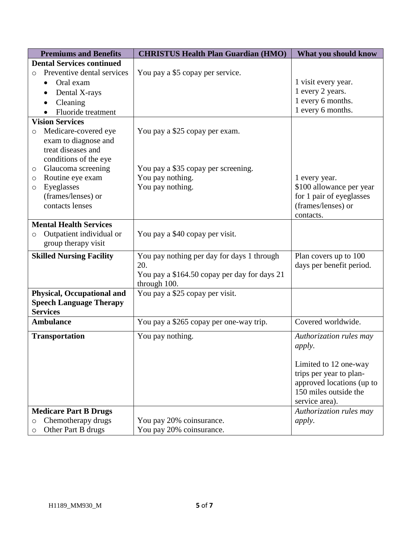| <b>Premiums and Benefits</b>          | <b>CHRISTUS Health Plan Guardian (HMO)</b>      | What you should know                             |
|---------------------------------------|-------------------------------------------------|--------------------------------------------------|
| <b>Dental Services continued</b>      |                                                 |                                                  |
| Preventive dental services<br>$\circ$ | You pay a \$5 copay per service.                |                                                  |
| Oral exam<br>$\bullet$                |                                                 | 1 visit every year.                              |
| Dental X-rays                         |                                                 | 1 every 2 years.                                 |
| Cleaning                              |                                                 | 1 every 6 months.                                |
| Fluoride treatment                    |                                                 | 1 every 6 months.                                |
| <b>Vision Services</b>                |                                                 |                                                  |
| Medicare-covered eye<br>$\circ$       | You pay a \$25 copay per exam.                  |                                                  |
| exam to diagnose and                  |                                                 |                                                  |
| treat diseases and                    |                                                 |                                                  |
| conditions of the eye                 |                                                 |                                                  |
| Glaucoma screening<br>O               | You pay a \$35 copay per screening.             |                                                  |
| Routine eye exam<br>O                 | You pay nothing.                                | 1 every year.                                    |
| Eyeglasses<br>O                       | You pay nothing.                                | \$100 allowance per year                         |
| (frames/lenses) or                    |                                                 | for 1 pair of eyeglasses                         |
| contacts lenses                       |                                                 | (frames/lenses) or                               |
| <b>Mental Health Services</b>         |                                                 | contacts.                                        |
| Outpatient individual or              | You pay a \$40 copay per visit.                 |                                                  |
| $\circ$<br>group therapy visit        |                                                 |                                                  |
|                                       |                                                 |                                                  |
| <b>Skilled Nursing Facility</b>       | You pay nothing per day for days 1 through      | Plan covers up to 100                            |
|                                       | 20.                                             | days per benefit period.                         |
|                                       | You pay a \$164.50 copay per day for days 21    |                                                  |
| <b>Physical, Occupational and</b>     | through 100.<br>You pay a \$25 copay per visit. |                                                  |
| <b>Speech Language Therapy</b>        |                                                 |                                                  |
| <b>Services</b>                       |                                                 |                                                  |
| <b>Ambulance</b>                      | You pay a \$265 copay per one-way trip.         | Covered worldwide.                               |
|                                       |                                                 |                                                  |
| <b>Transportation</b>                 | You pay nothing.                                | Authorization rules may                          |
|                                       |                                                 | <i>apply.</i>                                    |
|                                       |                                                 |                                                  |
|                                       |                                                 | Limited to 12 one-way<br>trips per year to plan- |
|                                       |                                                 | approved locations (up to                        |
|                                       |                                                 | 150 miles outside the                            |
|                                       |                                                 | service area).                                   |
| <b>Medicare Part B Drugs</b>          |                                                 | Authorization rules may                          |
| Chemotherapy drugs<br>$\circ$         | You pay 20% coinsurance.                        | <i>apply.</i>                                    |
| Other Part B drugs<br>$\circ$         | You pay 20% coinsurance.                        |                                                  |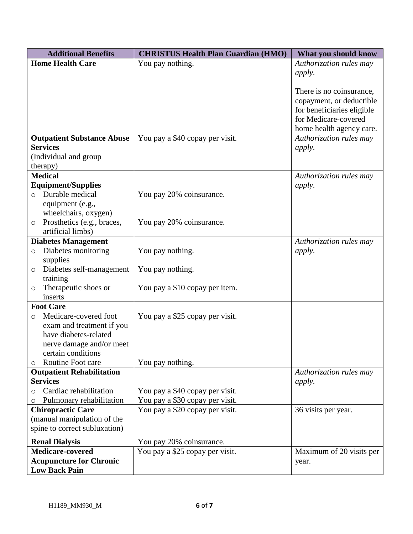| <b>Additional Benefits</b>                  | <b>CHRISTUS Health Plan Guardian (HMO)</b> | What you should know       |
|---------------------------------------------|--------------------------------------------|----------------------------|
| <b>Home Health Care</b>                     | You pay nothing.                           | Authorization rules may    |
|                                             |                                            | apply.                     |
|                                             |                                            |                            |
|                                             |                                            | There is no coinsurance,   |
|                                             |                                            | copayment, or deductible   |
|                                             |                                            | for beneficiaries eligible |
|                                             |                                            | for Medicare-covered       |
|                                             |                                            | home health agency care.   |
| <b>Outpatient Substance Abuse</b>           | You pay a \$40 copay per visit.            | Authorization rules may    |
| <b>Services</b>                             |                                            | <i>apply.</i>              |
| (Individual and group                       |                                            |                            |
| therapy)                                    |                                            |                            |
| <b>Medical</b>                              |                                            | Authorization rules may    |
| <b>Equipment/Supplies</b>                   |                                            | <i>apply.</i>              |
| Durable medical<br>$\Omega$                 | You pay 20% coinsurance.                   |                            |
| equipment (e.g.,                            |                                            |                            |
| wheelchairs, oxygen)                        |                                            |                            |
| Prosthetics (e.g., braces,<br>$\circ$       | You pay 20% coinsurance.                   |                            |
| artificial limbs)                           |                                            |                            |
| <b>Diabetes Management</b>                  |                                            | Authorization rules may    |
| Diabetes monitoring<br>$\circ$              | You pay nothing.                           | <i>apply.</i>              |
| supplies                                    |                                            |                            |
| Diabetes self-management<br>$\circ$         | You pay nothing.                           |                            |
| training                                    |                                            |                            |
| Therapeutic shoes or<br>$\circ$             | You pay a \$10 copay per item.             |                            |
| inserts                                     |                                            |                            |
| <b>Foot Care</b>                            |                                            |                            |
| Medicare-covered foot<br>O                  | You pay a \$25 copay per visit.            |                            |
| exam and treatment if you                   |                                            |                            |
| have diabetes-related                       |                                            |                            |
| nerve damage and/or meet                    |                                            |                            |
| certain conditions<br>Routine Foot care     |                                            |                            |
| $\circ$<br><b>Outpatient Rehabilitation</b> | You pay nothing.                           | Authorization rules may    |
| <b>Services</b>                             |                                            | <i>apply.</i>              |
| Cardiac rehabilitation<br>O                 | You pay a \$40 copay per visit.            |                            |
| Pulmonary rehabilitation<br>O               | You pay a \$30 copay per visit.            |                            |
| <b>Chiropractic Care</b>                    | You pay a \$20 copay per visit.            | 36 visits per year.        |
| (manual manipulation of the                 |                                            |                            |
| spine to correct subluxation)               |                                            |                            |
|                                             |                                            |                            |
| <b>Renal Dialysis</b>                       | You pay 20% coinsurance.                   |                            |
| <b>Medicare-covered</b>                     | You pay a \$25 copay per visit.            | Maximum of 20 visits per   |
| <b>Acupuncture for Chronic</b>              |                                            | year.                      |
| <b>Low Back Pain</b>                        |                                            |                            |